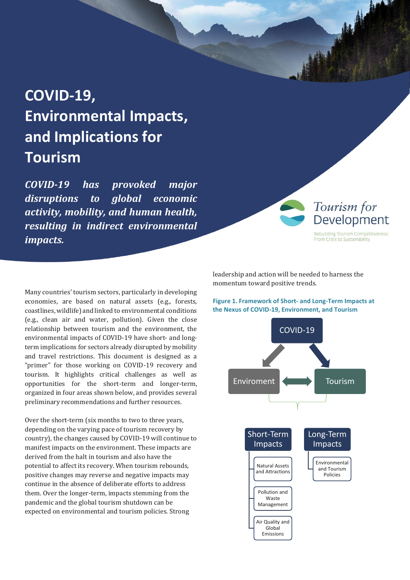# **COVID-19, Environmental Impacts, and Implications for Tourism**

*COVID-19 has provoked major disruptions to global economic activity, mobility, and human health, resulting in indirect environmental impacts.*

Many countries' tourism sectors, particularly in developing economies, are based on natural assets (e.g., forests, coastlines, wildlife) and linked to environmental conditions (e.g., clean air and water, pollution). Given the close relationship between tourism and the environment, the environmental impacts of COVID-19 have short- and longterm implications for sectors already disrupted by mobility and travel restrictions. This document is designed as a "primer" for those working on COVID-19 recovery and tourism. It highlights critical challenges as well as opportunities for the short-term and longer-term, organized in four areas shown below, and provides several preliminary recommendations and further resources.

Over the short-term (six months to two to three years, depending on the varying pace of tourism recovery by country), the changes caused by COVID-19 will continue to manifest impacts on the environment. These impacts are derived from the halt in tourism and also have the potential to affect its recovery. When tourism rebounds, positive changes may reverse and negative impacts may continue in the absence of deliberate efforts to address them. Over the longer-term, impacts stemming from the pandemic and the global tourism shutdown can be expected on environmental and tourism policies. Strong

leadership and action will be needed to harness the momentum toward positive trends.

Tourism for

Development Rebuilding Tourism Competitiveness: From Crisis to Sustainability



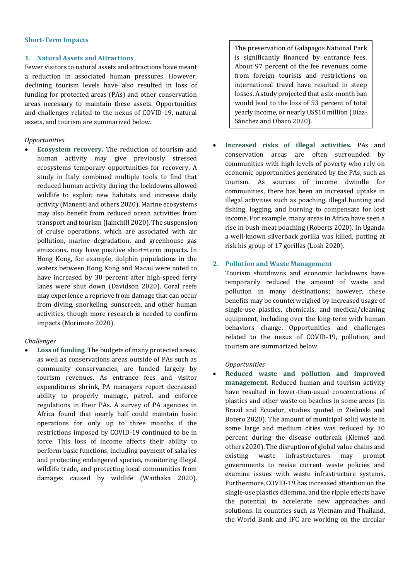#### **Short-Term Impacts**

### **1. Natural Assets and Attractions**

Fewer visitors to natural assets and attractions have meant a reduction in associated human pressures. However, declining tourism levels have also resulted in loss of funding for protected areas (PAs) and other conservation areas necessary to maintain these assets. Opportunities and challenges related to the nexus of COVID-19, natural assets, and tourism are summarized below.

### *Opportunities*

• **Ecosystem recovery.** The reduction of tourism and human activity may give previously stressed ecosystems temporary opportunities for recovery. A study in Italy combined multiple tools to find that reduced human activity during the lockdowns allowed wildlife to exploit new habitats and increase daily activity (Manenti and others 2020). Marine ecosystems may also benefit from reduced ocean activities from transport and tourism (Jainchill 2020). The suspension of cruise operations, which are associated with air pollution, marine degradation, and greenhouse gas emissions, may have positive short=term impacts. In Hong Kong, for example, dolphin populations in the waters between Hong Kong and Macau were noted to have increased by 30 percent after high-speed ferry lanes were shut down (Davidson 2020). Coral reefs may experience a reprieve from damage that can occur from diving, snorkeling, sunscreen, and other human activities, though more research is needed to confirm impacts (Morimoto 2020).

#### *Challenges*

• **Loss of funding**. The budgets of many protected areas, as well as conservations areas outside of PAs such as community conservancies, are funded largely by tourism revenues. As entrance fees and visitor expenditures shrink, PA managers report decreased ability to properly manage, patrol, and enforce regulations in their PAs. A survey of PA agencies in Africa found that nearly half could maintain basic operations for only up to three months if the restrictions imposed by COVID-19 continued to be in force. This loss of income affects their ability to perform basic functions, including payment of salaries and protecting endangered species, monitoring illegal wildlife trade, and protecting local communities from damages caused by wildlife (Waithaka 2020).

The preservation of Galapagos National Park is significantly financed by entrance fees. About 97 percent of the fee revenues come from foreign tourists and restrictions on international travel have resulted in steep losses. A study projected that a six-month ban would lead to the loss of 53 percent of total yearly income, or nearly US\$10 million (Díaz-Sánchez and Obaco 2020).

• **Increased risks of illegal activities.** PAs and conservation areas are often surrounded by communities with high levels of poverty who rely on economic opportunities generated by the PAs, such as tourism. As sources of income dwindle for communities, there has been an increased uptake in illegal activities such as poaching, illegal hunting and fishing, logging, and burning to compensate for lost income. For example, many areas in Africa have seen a rise in bush-meat poaching (Roberts 2020). In Uganda a well-known silverback gorilla was killed, putting at risk his group of 17 gorillas (Losh 2020).

## **2. Pollution and Waste Management**

Tourism shutdowns and economic lockdowns have temporarily reduced the amount of waste and pollution in many destinations; however, these benefits may be counterweighed by increased usage of single-use plastics, chemicals, and medical/cleaning equipment, including over the long-term with human behaviors change. Opportunities and challenges related to the nexus of COVID-19, pollution, and tourism are summarized below.

#### *Opportunities*

• **Reduced waste and pollution and improved management.** Reduced human and tourism activity have resulted in lower-than-usual concentrations of plastics and other waste on beaches in some areas (in Brazil and Ecuador, studies quoted in Zielinski and Botero 2020). The amount of municipal solid waste in some large and medium cities was reduced by 30 percent during the disease outbreak (Klemeš and others 2020). The disruption of global value chains and existing waste infrastructures may prompt governments to revise current waste policies and examine issues with waste infrastructure systems. Furthermore, COVID-19 has increased attention on the single-use plastics dilemma, and the ripple effects have the potential to accelerate new approaches and solutions. In countries such as Vietnam and Thailand, the World Bank and IFC are working on the circular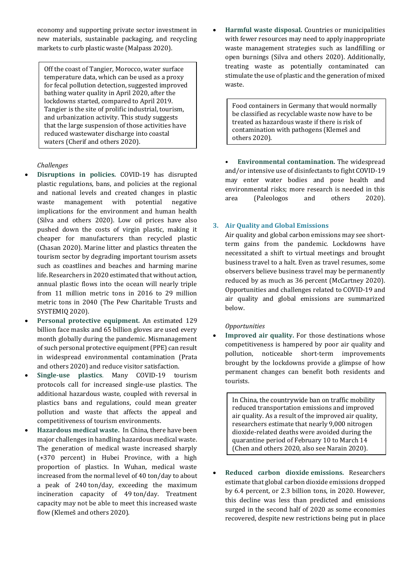economy and supporting private sector investment in new materials, sustainable packaging, and recycling markets to curb plastic waste (Malpass 2020).

Off the coast of Tangier, Morocco, water surface temperature data, which can be used as a proxy for fecal pollution detection, suggested improved bathing water quality in April 2020, after the lockdowns started, compared to April 2019. Tangier is the site of prolific industrial, tourism, and urbanization activity. This study suggests that the large suspension of those activities have reduced wastewater discharge into coastal waters (Cherif and others 2020).

# *Challenges*

- **Disruptions in policies.** COVID-19 has disrupted plastic regulations, bans, and policies at the regional and national levels and created changes in plastic waste management with potential negative implications for the environment and human health (Silva and others 2020). Low oil prices have also pushed down the costs of virgin plastic, making it cheaper for manufacturers than recycled plastic (Chasan 2020). Marine litter and plastics threaten the tourism sector by degrading important tourism assets such as coastlines and beaches and harming marine life. Researchers in 2020 estimated that without action, annual plastic flows into the ocean will nearly triple from 11 million metric tons in 2016 to 29 million metric tons in 2040 (The Pew Charitable Trusts and SYSTEMIQ 2020).
- **Personal protective equipment.** An estimated 129 billion face masks and 65 billion gloves are used every month globally during the pandemic. Mismanagement of such personal protective equipment (PPE) can result in widespread environmental contamination (Prata and others 2020) and reduce visitor satisfaction.
- **Single-use plastics**. Many COVID-19 tourism protocols call for increased single-use plastics. The additional hazardous waste, coupled with reversal in plastics bans and regulations, could mean greater pollution and waste that affects the appeal and competitiveness of tourism environments.
- **Hazardous medical waste.** In China, there have been major challenges in handling hazardous medical waste. The generation of medical waste increased sharply (+370 percent) in Hubei Province, with a high proportion of plastics. In Wuhan, medical waste increased from the normal level of 40 ton/day to about a peak of 240 ton/day, exceeding the maximum incineration capacity of 49 ton/day. Treatment capacity may not be able to meet this increased waste flow (Klemeš and others 2020).

• **Harmful waste disposal.** Countries or municipalities with fewer resources may need to apply inappropriate waste management strategies such as landfilling or open burnings (Silva and others 2020). Additionally, treating waste as potentially contaminated can stimulate the use of plastic and the generation of mixed waste.

Food containers in Germany that would normally be classified as recyclable waste now have to be treated as hazardous waste if there is risk of contamination with pathogens (Klemeš and others 2020).

• **Environmental contamination.** The widespread and/or intensive use of disinfectants to fight COVID-19 may enter water bodies and pose health and environmental risks; more research is needed in this area (Paleologos and others 2020).

# **3. Air Quality and Global Emissions**

Air quality and global carbon emissions may see shortterm gains from the pandemic. Lockdowns have necessitated a shift to virtual meetings and brought business travel to a halt. Even as travel resumes, some observers believe business travel may be permanently reduced by as much as 36 percent (McCartney 2020). Opportunities and challenges related to COVID-19 and air quality and global emissions are summarized below.

## *Opportunities*

Improved air quality. For those destinations whose competitiveness is hampered by poor air quality and pollution, noticeable short-term improvements brought by the lockdowns provide a glimpse of how permanent changes can benefit both residents and tourists.

In China, the countrywide ban on traffic mobility reduced transportation emissions and improved air quality. As a result of the improved air quality, researchers estimate that nearly 9,000 nitrogen dioxide-related deaths were avoided during the quarantine period of February 10 to March 14 (Chen and others 2020, also see Narain 2020).

• **Reduced carbon dioxide emissions.** Researchers estimate that global carbon dioxide emissions dropped by 6.4 percent, or 2.3 billion tons, in 2020. However, this decline was less than predicted and emissions surged in the second half of 2020 as some economies recovered, despite new restrictions being put in place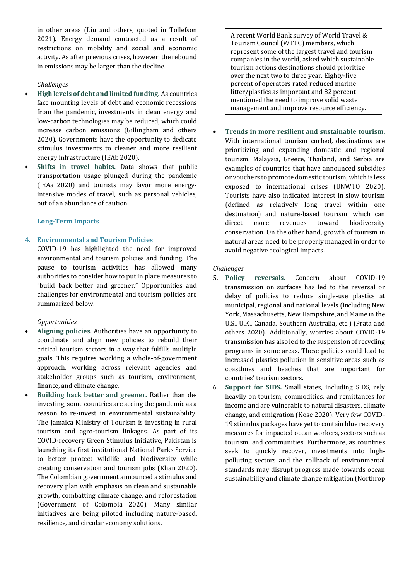in other areas (Liu and others, quoted in Tollefson 2021). Energy demand contracted as a result of restrictions on mobility and social and economic activity. As after previous crises, however, the rebound in emissions may be larger than the decline.

# *Challenges*

- **High levels of debt and limited funding.** As countries face mounting levels of debt and economic recessions from the pandemic, investments in clean energy and low-carbon technologies may be reduced, which could increase carbon emissions (Gillingham and others 2020). Governments have the opportunity to dedicate stimulus investments to cleaner and more resilient energy infrastructure (IEAb 2020).
- **Shifts in travel habits.** Data shows that public transportation usage plunged during the pandemic (IEAa 2020) and tourists may favor more energyintensive modes of travel, such as personal vehicles, out of an abundance of caution.

## **Long-Term Impacts**

# **4. Environmental and Tourism Policies**

COVID-19 has highlighted the need for improved environmental and tourism policies and funding. The pause to tourism activities has allowed many authorities to consider how to put in place measures to "build back better and greener." Opportunities and challenges for environmental and tourism policies are summarized below.

## *Opportunities*

- **Aligning policies.** Authorities have an opportunity to coordinate and align new policies to rebuild their critical tourism sectors in a way that fulfills multiple goals. This requires working a whole-of-government approach, working across relevant agencies and stakeholder groups such as tourism, environment, finance, and climate change.
- **Building back better and greener.** Rather than deinvesting, some countries are seeing the pandemic as a reason to re-invest in environmental sustainability. The Jamaica Ministry of Tourism is investing in rural tourism and agro-tourism linkages. As part of its COVID-recovery Green Stimulus Initiative, Pakistan is launching its first institutional National Parks Service to better protect wildlife and biodiversity while creating conservation and tourism jobs (Khan 2020). The Colombian government announced a stimulus and recovery plan with emphasis on clean and sustainable growth, combatting climate change, and reforestation (Government of Colombia 2020). Many similar initiatives are being piloted including nature-based, resilience, and circular economy solutions.

A recent World Bank survey of World Travel & Tourism Council (WTTC) members, which represent some of the largest travel and tourism companies in the world, asked which sustainable tourism actions destinations should prioritize over the next two to three year. Eighty-five percent of operators rated reduced marine litter/plastics as important and 82 percent mentioned the need to improve solid waste management and improve resource efficiency.

• **Trends in more resilient and sustainable tourism.**  With international tourism curbed, destinations are prioritizing and expanding domestic and regional tourism. Malaysia, Greece, Thailand, and Serbia are examples of countries that have announced subsidies or vouchers to promote domestic tourism, which is less exposed to international crises (UNWTO 2020). Tourists have also indicated interest in slow tourism (defined as relatively long travel within one destination) and nature-based tourism, which can direct more revenues toward biodiversity conservation. On the other hand, growth of tourism in natural areas need to be properly managed in order to avoid negative ecological impacts.

## *Challenges*

- 5. **Policy reversals.** Concern about COVID-19 transmission on surfaces has led to the reversal or delay of policies to reduce single-use plastics at municipal, regional and national levels (including New York, Massachusetts, New Hampshire, and Maine in the U.S., U.K., Canada, Southern Australia, etc.) (Prata and others 2020). Additionally, worries about COVID-19 transmission has also led to the suspension of recycling programs in some areas. These policies could lead to increased plastics pollution in sensitive areas such as coastlines and beaches that are important for countries' tourism sectors.
- 6. **Support for SIDS.** Small states, including SIDS, rely heavily on tourism, commodities, and remittances for income and are vulnerable to natural disasters, climate change, and emigration (Kose 2020). Very few COVID-19 stimulus packages have yet to contain blue recovery measures for impacted ocean workers, sectors such as tourism, and communities. Furthermore, as countries seek to quickly recover, investments into highpolluting sectors and the rollback of environmental standards may disrupt progress made towards ocean sustainability and climate change mitigation (Northrop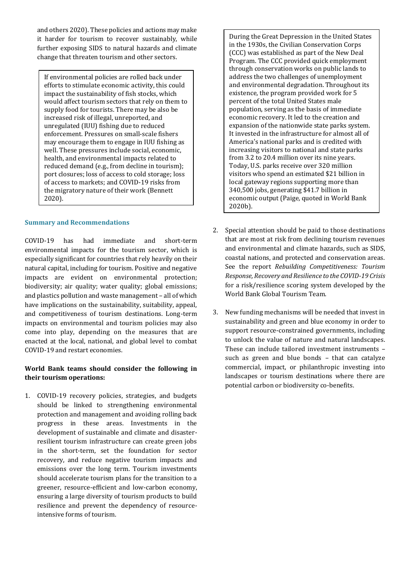and others 2020). These policies and actions may make it harder for tourism to recover sustainably, while further exposing SIDS to natural hazards and climate change that threaten tourism and other sectors.

If environmental policies are rolled back under efforts to stimulate economic activity, this could impact the sustainability of fish stocks, which would affect tourism sectors that rely on them to supply food for tourists. There may be also be increased risk of illegal, unreported, and unregulated (IUU) fishing due to reduced enforcement. Pressures on small-scale fishers may encourage them to engage in IUU fishing as well. These pressures include social, economic, health, and environmental impacts related to reduced demand (e.g., from decline in tourism); port closures; loss of access to cold storage; loss of access to markets; and COVID-19 risks from the migratory nature of their work (Bennett 2020).

# **Summary and Recommendations**

COVID-19 has had immediate and short-term environmental impacts for the tourism sector, which is especially significant for countries that rely heavily on their natural capital, including for tourism. Positive and negative impacts are evident on environmental protection; biodiversity; air quality; water quality; global emissions; and plastics pollution and waste management – all of which have implications on the sustainability, suitability, appeal, and competitiveness of tourism destinations. Long-term impacts on environmental and tourism policies may also come into play, depending on the measures that are enacted at the local, national, and global level to combat COVID-19 and restart economies.

# **World Bank teams should consider the following in their tourism operations:**

1. COVID-19 recovery policies, strategies, and budgets should be linked to strengthening environmental protection and management and avoiding rolling back progress in these areas. Investments in the development of sustainable and climate and disasterresilient tourism infrastructure can create green jobs in the short-term, set the foundation for sector recovery, and reduce negative tourism impacts and emissions over the long term. Tourism investments should accelerate tourism plans for the transition to a greener, resource-efficient and low-carbon economy, ensuring a large diversity of tourism products to build resilience and prevent the dependency of resourceintensive forms of tourism.

During the Great Depression in the United States in the 1930s, the Civilian Conservation Corps (CCC) was established as part of the New Deal Program. The CCC provided quick employment through conservation works on public lands to address the two challenges of unemployment and environmental degradation. Throughout its existence, the program provided work for 5 percent of the total United States male population, serving as the basis of immediate economic recovery. It led to the creation and expansion of the nationwide state parks system. It invested in the infrastructure for almost all of America's national parks and is credited with increasing visitors to national and state parks from 3.2 to 20.4 million over its nine years. Today, U.S. parks receive over 320 million visitors who spend an estimated \$21 billion in local gateway regions supporting more than 340,500 jobs, generating \$41.7 billion in economic output (Paige, quoted in World Bank 2020b).

- 2. Special attention should be paid to those destinations that are most at risk from declining tourism revenues and environmental and climate hazards, such as SIDS, coastal nations, and protected and conservation areas. See the report *Rebuilding Competitiveness: Tourism Response, Recovery and Resilience to the COVID-19 Crisis* for a risk/resilience scoring system developed by the World Bank Global Tourism Team.
- 3. New funding mechanisms will be needed that invest in sustainability and green and blue economy in order to support resource-constrained governments, including to unlock the value of nature and natural landscapes. These can include tailored investment instruments – such as green and blue bonds – that can catalyze commercial, impact, or philanthropic investing into landscapes or tourism destinations where there are potential carbon or biodiversity co-benefits.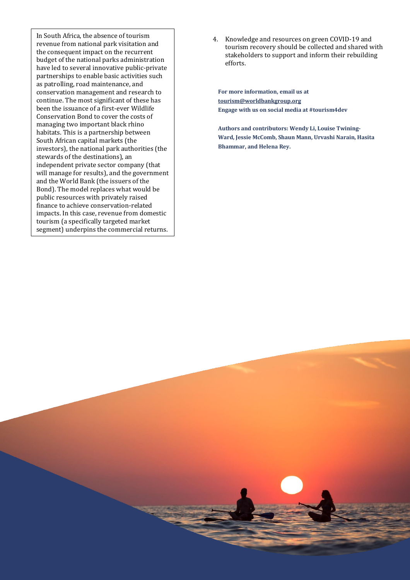In South Africa, the absence of tourism revenue from national park visitation and the consequent impact on the recurrent budget of the national parks administration have led to several innovative public-private partnerships to enable basic activities such as patrolling, road maintenance, and conservation management and research to continue. The most significant of these has been the issuance of a first-ever Wildlife Conservation Bond to cover the costs of managing two important black rhino habitats. This is a partnership between South African capital markets (the investors), the national park authorities (the stewards of the destinations), an independent private sector company (that will manage for results), and the government and the World Bank (the issuers of the Bond). The model replaces what would be public resources with privately raised finance to achieve conservation-related impacts. In this case, revenue from domestic tourism (a specifically targeted market segment) underpins the commercial returns.

4. Knowledge and resources on green COVID-19 and tourism recovery should be collected and shared with stakeholders to support and inform their rebuilding efforts.

**For more information, email us at [tourism@worldbankgroup.org](mailto:tourism@worldbankgroup.org) Engage with us on social media at #tourism4dev**

**Authors and contributors: Wendy Li, Louise Twining-Ward, Jessie McComb, Shaun Mann, Urvashi Narain, Hasita Bhammar, and Helena Rey.**

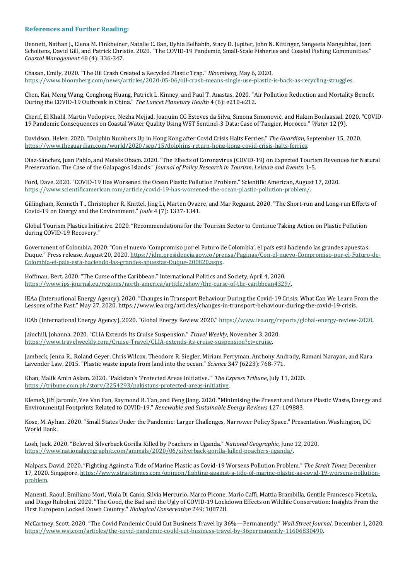## **References and Further Reading:**

Bennett, Nathan J., Elena M. Finkbeiner, Natalie C. Ban, Dyhia Belhabib, Stacy D. Jupiter, John N. Kittinger, Sangeeta Mangubhai, Joeri Scholtens, David Gill, and Patrick Christie. 2020. "The COVID-19 Pandemic, Small-Scale Fisheries and Coastal Fishing Communities." *Coastal Management* 48 (4): 336-347.

Chasan, Emily. 2020. "The Oil Crash Created a Recycled Plastic Trap." *Bloomberg,* May 6, 2020. [https://www.bloomberg.com/news/articles/2020-05-06/oil-crash-means-single-use-plastic-is-back-as-recycling-struggles.](https://www.bloomberg.com/news/articles/2020-05-06/oil-crash-means-single-use-plastic-is-back-as-recycling-struggles) 

Chen, Kai, Meng Wang, Conghong Huang, Patrick L. Kinney, and Paul T. Anastas. 2020. "Air Pollution Reduction and Mortality Benefit During the COVID-19 Outbreak in China." *The Lancet Planetary Health* 4 (6): e210-e212.

Cherif, El Khalil, Martin Vodopivec, Nezha Mejjad, Joaquim CG Esteves da Silva, Simona Simonovič, and Hakim Boulaassal. 2020. "COVID-19 Pandemic Consequences on Coastal Water Quality Using WST Sentinel-3 Data: Case of Tangier, Morocco." *Water* 12 (9).

Davidson, Helen. 2020. "Dolphin Numbers Up in Hong Kong after Covid Crisis Halts Ferries." *The Guardian*, September 15, 2020. [https://www.theguardian.com/world/2020/sep/15/dolphins-return-hong-kong-covid-crisis-halts-ferries.](https://www.theguardian.com/world/2020/sep/15/dolphins-return-hong-kong-covid-crisis-halts-ferries)

Díaz-Sánchez, Juan Pablo, and Moisés Obaco. 2020. "The Effects of Coronavirus (COVID-19) on Expected Tourism Revenues for Natural Preservation. The Case of the Galapagos Islands." *Journal of Policy Research in Tourism, Leisure and Events*: 1-5.

Ford, Dave. 2020. "COVID-19 Has Worsened the Ocean Plastic Pollution Problem." Scientific American, August 17, 2020*.* [https://www.scientificamerican.com/article/covid-19-has-worsened-the-ocean-plastic-pollution-problem/.](https://www.scientificamerican.com/article/covid-19-has-worsened-the-ocean-plastic-pollution-problem/)

Gillingham, Kenneth T., Christopher R. Knittel, Jing Li, Marten Ovaere, and Mar Reguant. 2020. "The Short-run and Long-run Effects of Covid-19 on Energy and the Environment." *Joule* 4 (7): 1337-1341.

Global Tourism Plastics Initiative. 2020. "Recommendations for the Tourism Sector to Continue Taking Action on Plastic Pollution during COVID-19 Recovery."

Government of Colombia. 2020. "Con el nuevo 'Compromiso por el Futuro de Colombia', el país está haciendo las grandes apuestas: Duque." Press release, August 20, 2020. [https://idm.presidencia.gov.co/prensa/Paginas/Con-el-nuevo-Compromiso-por-el-Futuro-de-](https://idm.presidencia.gov.co/prensa/Paginas/Con-el-nuevo-Compromiso-por-el-Futuro-de-Colombia-el-pais-esta-haciendo-las-grandes-apuestas-Duque-200820.aspx)[Colombia-el-pais-esta-haciendo-las-grandes-apuestas-Duque-200820.aspx.](https://idm.presidencia.gov.co/prensa/Paginas/Con-el-nuevo-Compromiso-por-el-Futuro-de-Colombia-el-pais-esta-haciendo-las-grandes-apuestas-Duque-200820.aspx) 

Hoffman, Bert. 2020. "The Curse of the Caribbean." International Politics and Society, April 4, 2020. [https://www.ips-journal.eu/regions/north-america/article/show/the-curse-of-the-caribbean4329/.](https://www.ips-journal.eu/regions/north-america/article/show/the-curse-of-the-caribbean4329/)

IEAa (International Energy Agency). 2020. "Changes in Transport Behaviour During the Covid-19 Crisis: What Can We Learn From the Lessons of the Past." May 27, 2020. https://www.iea.org/articles/changes-in-transport-behaviour-during-the-covid-19-crisis.

IEAb (International Energy Agency). 2020. "Global Energy Review 2020." [https://www.iea.org/reports/global-energy-review-2020.](https://www.iea.org/reports/global-energy-review-2020)

Jainchill, Johanna. 2020. "CLIA Extends Its Cruise Suspension." *Travel Weekly*, November 3, 2020. [https://www.travelweekly.com/Cruise-Travel/CLIA-extends-its-cruise-suspension?ct=cruise.](https://www.travelweekly.com/Cruise-Travel/CLIA-extends-its-cruise-suspension?ct=cruise)

Jambeck, Jenna R., Roland Geyer, Chris Wilcox, Theodore R. Siegler, Miriam Perryman, Anthony Andrady, Ramani Narayan, and Kara Lavender Law. 2015. "Plastic waste inputs from land into the ocean." *Science* 347 (6223): 768-771.

Khan, Malik Amin Aslam. 2020. "Pakistan's 'Protected Areas Initiative.'" *The Express Tribune*, July 11, 2020. [https://tribune.com.pk/story/2254293/pakistans-protected-areas-initiative.](https://tribune.com.pk/story/2254293/pakistans-protected-areas-initiative) 

Klemeš, Jiří Jaromír, Yee Van Fan, Raymond R. Tan, and Peng Jiang. 2020. "Minimising the Present and Future Plastic Waste, Energy and Environmental Footprints Related to COVID-19." *Renewable and Sustainable Energy Reviews* 127: 109883.

Kose, M. Ayhan. 2020. "Small States Under the Pandemic: Larger Challenges, Narrower Policy Space." Presentation. Washington, DC: World Bank.

Losh, Jack. 2020. "Beloved Silverback Gorilla Killed by Poachers in Uganda." *National Geographic,* June 12, 2020. [https://www.nationalgeographic.com/animals/2020/06/silverback-gorilla-killed-poachers-uganda/.](https://www.nationalgeographic.com/animals/2020/06/silverback-gorilla-killed-poachers-uganda/)

Malpass, David. 2020. "Fighting Against a Tide of Marine Plastic as Covid-19 Worsens Pollution Problem." *The Strait Times,* December 17, 2020. Singapore[. https://www.straitstimes.com/opinion/fighting-against-a-tide-of-marine-plastic-as-covid-19-worsens-pollution](https://www.straitstimes.com/opinion/fighting-against-a-tide-of-marine-plastic-as-covid-19-worsens-pollution-problem)[problem.](https://www.straitstimes.com/opinion/fighting-against-a-tide-of-marine-plastic-as-covid-19-worsens-pollution-problem) 

Manenti, Raoul, Emiliano Mori, Viola Di Canio, Silvia Mercurio, Marco Picone, Mario Caffi, Mattia Brambilla, Gentile Francesco Ficetola, and Diego Rubolini. 2020. "The Good, the Bad and the Ugly of COVID-19 Lockdown Effects on Wildlife Conservation: Insights From the First European Locked Down Country." *Biological Conservation* 249: 108728.

McCartney, Scott. 2020. "The Covid Pandemic Could Cut Business Travel by 36%—Permanently." *Wall Street Journal*, December 1, 2020. [https://www.wsj.com/articles/the-covid-pandemic-could-cut-business-travel-by-36permanently-11606830490.](https://www.wsj.com/articles/the-covid-pandemic-could-cut-business-travel-by-36permanently-11606830490)